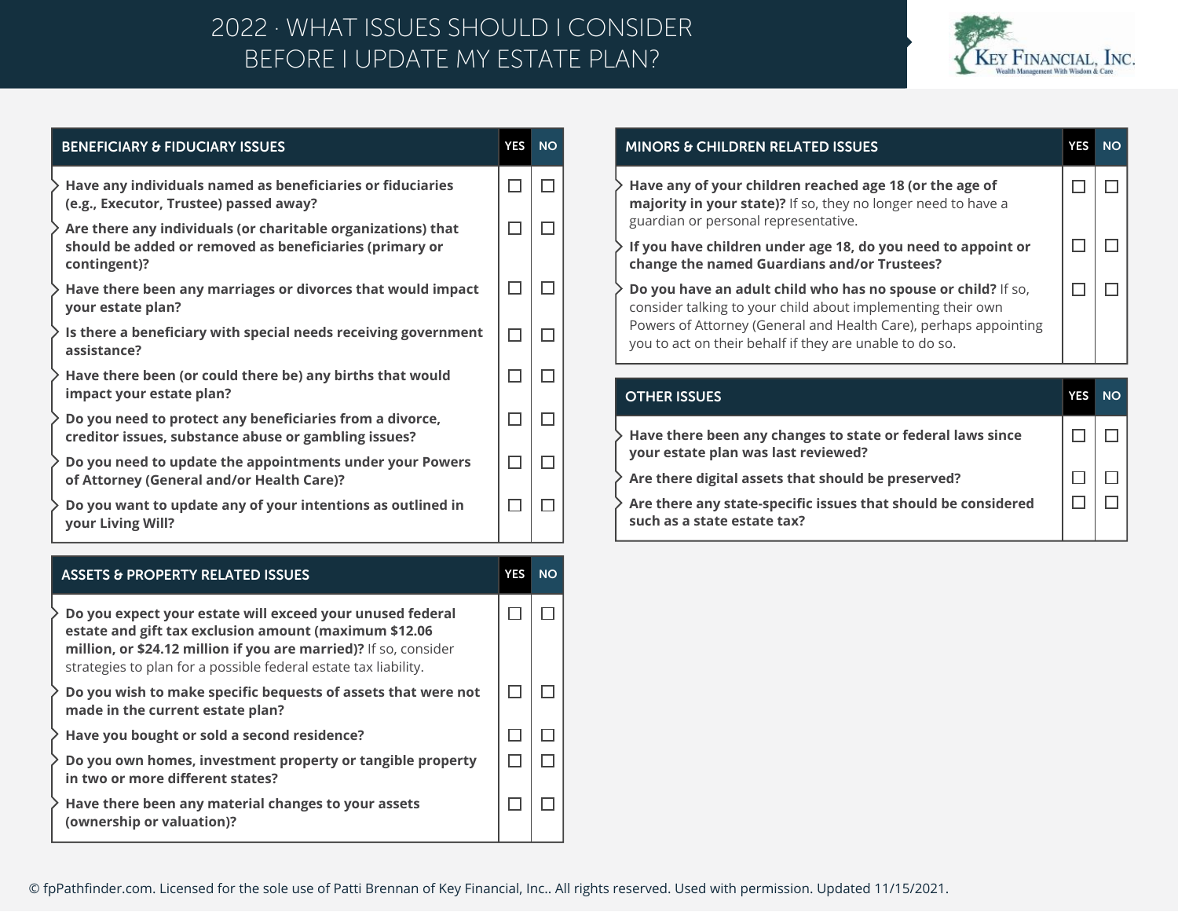## BEFORE I UPDATE MY ESTATE PLAN? 2022 · WHAT ISSUES SHOULD I CONSIDER



| <b>BENEFICIARY &amp; FIDUCIARY ISSUES</b>                                                                                                                        | <b>YES</b>   | <b>NO</b> |
|------------------------------------------------------------------------------------------------------------------------------------------------------------------|--------------|-----------|
| $\geqslant$ Have any individuals named as beneficiaries or fiduciaries<br>(e.g., Executor, Trustee) passed away?                                                 |              |           |
| $\overline{\phantom{a}}$ Are there any individuals (or charitable organizations) that<br>should be added or removed as beneficiaries (primary or<br>contingent)? |              | П         |
| $\ge$ Have there been any marriages or divorces that would impact<br>your estate plan?                                                                           |              |           |
| $\geq$ Is there a beneficiary with special needs receiving government<br>assistance?                                                                             | $\mathbf{L}$ |           |
| $\overline{\phantom{a}}$ Have there been (or could there be) any births that would<br>impact your estate plan?                                                   |              |           |
| $\overline{\phantom{a}}$ Do you need to protect any beneficiaries from a divorce,<br>creditor issues, substance abuse or gambling issues?                        |              |           |
| $\overline{\phantom{a}}$ Do you need to update the appointments under your Powers<br>of Attorney (General and/or Health Care)?                                   | $\mathbf{I}$ |           |
| $\geq$ Do you want to update any of your intentions as outlined in<br>your Living Will?                                                                          |              |           |
|                                                                                                                                                                  |              |           |

| <b>ASSETS &amp; PROPERTY RELATED ISSUES</b>                                                                                                                                                                                                               | <b>YES</b> | <b>NO</b> |
|-----------------------------------------------------------------------------------------------------------------------------------------------------------------------------------------------------------------------------------------------------------|------------|-----------|
| Do you expect your estate will exceed your unused federal<br>estate and gift tax exclusion amount (maximum \$12.06<br>million, or \$24.12 million if you are married)? If so, consider<br>strategies to plan for a possible federal estate tax liability. |            |           |
| Do you wish to make specific bequests of assets that were not<br>made in the current estate plan?                                                                                                                                                         |            |           |
| Have you bought or sold a second residence?                                                                                                                                                                                                               |            |           |
| Do you own homes, investment property or tangible property<br>in two or more different states?                                                                                                                                                            |            |           |
| Have there been any material changes to your assets<br>(ownership or valuation)?                                                                                                                                                                          |            |           |

| <b>MINORS &amp; CHILDREN RELATED ISSUES</b>                                                                                                                                                                                                                        | <b>YES</b> | NΟ |
|--------------------------------------------------------------------------------------------------------------------------------------------------------------------------------------------------------------------------------------------------------------------|------------|----|
| $\rightarrow$ Have any of your children reached age 18 (or the age of<br>majority in your state)? If so, they no longer need to have a<br>guardian or personal representative.                                                                                     |            |    |
| If you have children under age 18, do you need to appoint or<br>change the named Guardians and/or Trustees?                                                                                                                                                        |            |    |
| <b>Do you have an adult child who has no spouse or child?</b> If so,<br>consider talking to your child about implementing their own<br>Powers of Attorney (General and Health Care), perhaps appointing<br>you to act on their behalf if they are unable to do so. |            |    |
|                                                                                                                                                                                                                                                                    |            |    |
|                                                                                                                                                                                                                                                                    |            |    |

| <b>OTHER ISSUES</b>                                                                                             | <b>NO</b> |
|-----------------------------------------------------------------------------------------------------------------|-----------|
| $\rightarrow$ Have there been any changes to state or federal laws since<br>your estate plan was last reviewed? |           |
| Are there digital assets that should be preserved?                                                              |           |
| $\rightarrow$ Are there any state-specific issues that should be considered<br>such as a state estate tax?      |           |